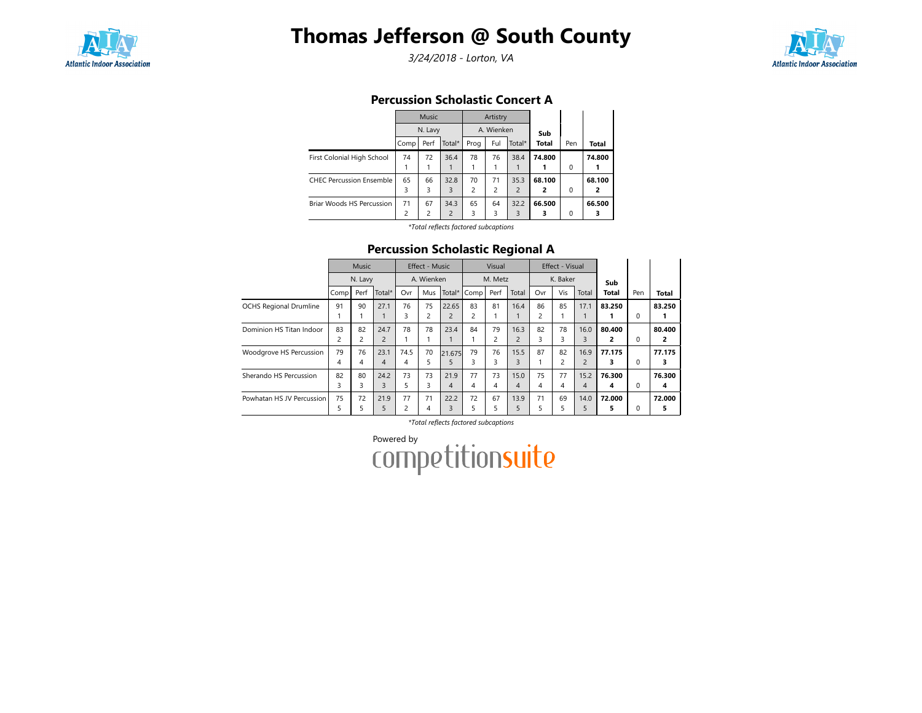

# Thomas Jefferson @ South County

3/24/2018 - Lorton, VA



## Percussion Scholastic Concert A

|                                 |                | <b>Music</b>   |                |                | Artistry       |                |              |          |        |
|---------------------------------|----------------|----------------|----------------|----------------|----------------|----------------|--------------|----------|--------|
|                                 |                | N. Lavy        |                |                | A. Wienken     |                | Sub          |          |        |
|                                 | Comp           | Perf           | Total*         | Prog           | Ful            | Total*         | <b>Total</b> | Pen      | Total  |
| First Colonial High School      | 74             | 72             | 36.4           | 78             | 76             | 38.4           | 74.800       |          | 74.800 |
|                                 |                |                |                |                |                |                |              | $\Omega$ |        |
| <b>CHEC Percussion Ensemble</b> | 65             | 66             | 32.8           | 70             | 71             | 35.3           | 68.100       |          | 68.100 |
|                                 | 3              | 3              | 3              | $\overline{c}$ | $\overline{2}$ | $\overline{2}$ | 2            | $\Omega$ | 2      |
| Briar Woods HS Percussion       | 71             | 67             | 34.3           | 65             | 64             | 32.2           | 66.500       |          | 66.500 |
|                                 | $\overline{2}$ | $\overline{c}$ | $\overline{2}$ | 3              | 3              | 3              | 3            | $\Omega$ | 3      |

\*Total reflects factored subcaptions

## Percussion Scholastic Regional A

|                               |      | Music   |                |      | Effect - Music |                |      | Visual  |                |                | Effect - Visual |                |        |          |              |
|-------------------------------|------|---------|----------------|------|----------------|----------------|------|---------|----------------|----------------|-----------------|----------------|--------|----------|--------------|
|                               |      | N. Lavy |                |      | A. Wienken     |                |      | M. Metz |                |                | K. Baker        |                | Sub    |          |              |
|                               | Comp | Perf    | Total*         | Ovr  | Mus            | Total*         | Comp | Perf    | Total          | Ovr            | Vis             | Total          | Total  | Pen      | <b>Total</b> |
| <b>OCHS Regional Drumline</b> | 91   | 90      | 27.1           | 76   | 75             | 22.65          | 83   | 81      | 16.4           | 86             | 85              | 17.1           | 83.250 |          | 83.250       |
|                               |      |         |                | 3    | 2              | $\overline{2}$ | 2    |         |                | $\overline{c}$ |                 |                |        | 0        |              |
| Dominion HS Titan Indoor      | 83   | 82      | 24.7           | 78   | 78             | 23.4           | 84   | 79      | 16.3           | 82             | 78              | 16.0           | 80.400 |          | 80.400       |
|                               | 2    | 2       | $\overline{2}$ |      |                |                |      | 2       | $\overline{c}$ | 3              | 3               | 3              | 2      | 0        | 2            |
| Woodgrove HS Percussion       | 79   | 76      | 23.1           | 74.5 | 70             | 21.675         | 79   | 76      | 15.5           | 87             | 82              | 16.9           | 77.175 |          | 77.175       |
|                               | 4    | 4       | $\overline{4}$ | 4    | 5              | 5.             | 3    | 3       | 3              |                |                 | $\overline{2}$ | 3      | 0        | 3            |
| Sherando HS Percussion        | 82   | 80      | 24.2           | 73   | 73             | 21.9           | 77   | 73      | 15.0           | 75             | 77              | 15.2           | 76.300 |          | 76.300       |
|                               | 3    | 3       | 3              | 5    | 3              | 4              | 4    | 4       | 4              | 4              | 4               | $\overline{4}$ | 4      | $\Omega$ | 4            |
| Powhatan HS JV Percussion     | 75   | 72      | 21.9           | 77   | 71             | 22.2           | 72   | 67      | 13.9           | 71             | 69              | 14.0           | 72.000 |          | 72.000       |
|                               | 5    | 5       | 5              | 2    | 4              | 3              | 5    | 5       | 5              | 5              |                 | 5              | 5      | 0        | 5            |

\*Total reflects factored subcaptions

Powered by<br>COMPetitionsuite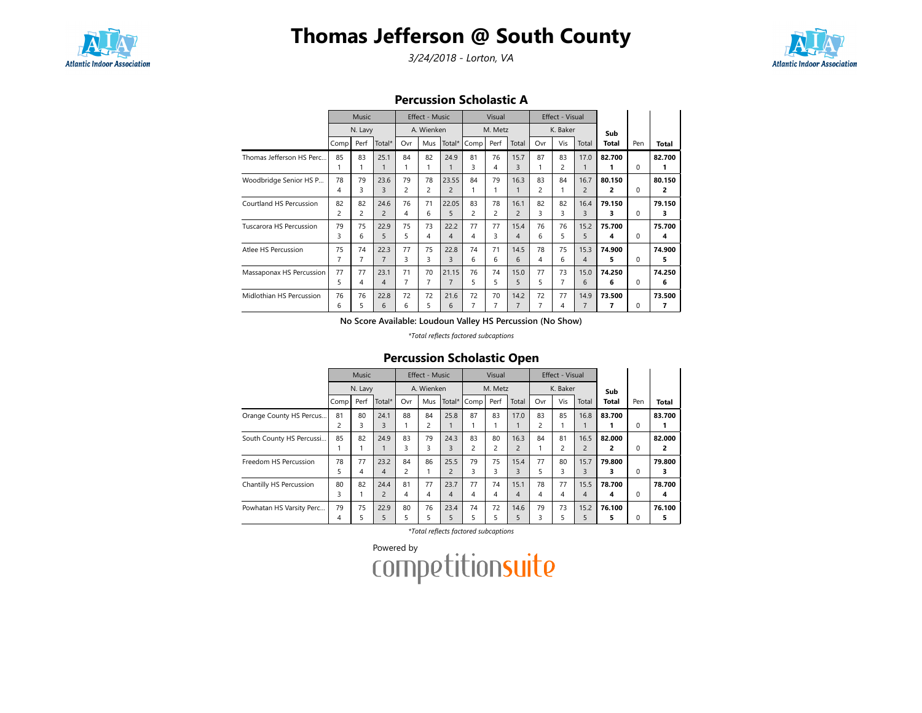

# Thomas Jefferson @ South County

3/24/2018 - Lorton, VA



#### Percussion Scholastic A

|                          |      | <b>Music</b>   |                |                | Effect - Music |                |                | Visual                  |                |     | Effect - Visual |                |        |          |        |
|--------------------------|------|----------------|----------------|----------------|----------------|----------------|----------------|-------------------------|----------------|-----|-----------------|----------------|--------|----------|--------|
|                          |      | N. Lavy        |                |                | A. Wienken     |                |                | M. Metz                 |                |     | K. Baker        |                | Sub    |          |        |
|                          | Comp | Perf           | Total*         | Ovr            | Mus            | Total*         | Comp           | Perf                    | Total          | Ovr | Vis             | Total          | Total  | Pen      | Total  |
| Thomas Jefferson HS Perc | 85   | 83             | 25.1           | 84             | 82             | 24.9           | 81             | 76                      | 15.7           | 87  | 83              | 17.0           | 82.700 |          | 82.700 |
|                          |      |                |                |                |                |                | 3              | 4                       | 3              |     | 2               |                |        | 0        | 1      |
| Woodbridge Senior HS P   | 78   | 79             | 23.6           | 79             | 78             | 23.55          | 84             | 79                      | 16.3           | 83  | 84              | 16.7           | 80.150 |          | 80.150 |
|                          | 4    | 3              | 3              | 2              | 2              | $\overline{2}$ |                |                         |                | 2   |                 | $\overline{2}$ | 2      | $\Omega$ | 2      |
| Courtland HS Percussion  | 82   | 82             | 24.6           | 76             | 71             | 22.05          | 83             | 78                      | 16.1           | 82  | 82              | 16.4           | 79.150 |          | 79.150 |
|                          | 2    | $\overline{c}$ | $\overline{2}$ | 4              | 6              | 5              | $\overline{c}$ | $\overline{\mathbf{c}}$ | $\overline{c}$ | 3   | 3               | 3              | 3      | $\Omega$ | 3      |
| Tuscarora HS Percussion  | 79   | 75             | 22.9           | 75             | 73             | 22.2           | 77             | 77                      | 15.4           | 76  | 76              | 15.2           | 75.700 |          | 75.700 |
|                          | 3    | 6              | 5              | 5              | 4              | 4              | 4              | 3                       | 4              | 6   | 5.              | 5              | 4      | 0        | 4      |
| Atlee HS Percussion      | 75   | 74             | 22.3           | 77             | 75             | 22.8           | 74             | 71                      | 14.5           | 78  | 75              | 15.3           | 74.900 |          | 74.900 |
|                          | 7    | 7              | $\overline{7}$ | 3              | 3              | 3              | 6              | 6                       | 6              | 4   | 6               | 4              | 5      | 0        | 5      |
| Massaponax HS Percussion | 77   | 77             | 23.1           | 71             | 70             | 21.15          | 76             | 74                      | 15.0           | 77  | 73              | 15.0           | 74.250 |          | 74.250 |
|                          | 5    | 4              | $\overline{4}$ | $\overline{7}$ | $\overline{7}$ | $\overline{7}$ | 5              | 5                       | 5              | 5   |                 | 6              | 6      | $\Omega$ | 6      |
| Midlothian HS Percussion | 76   | 76             | 22.8           | 72             | 72             | 21.6           | 72             | 70                      | 14.2           | 72  | 77              | 14.9           | 73.500 |          | 73.500 |
|                          | 6    | 5.             | 6              | 6              | 5              | 6              | $\overline{7}$ | 7                       | 7              |     | 4               | $\overline{7}$ | 7      | 0        | 7      |

No Score Available: Loudoun Valley HS Percussion (No Show)

\*Total reflects factored subcaptions

## Percussion Scholastic Open

|                          |                      | Music   |                        |         | <b>Effect - Music</b> |                        |                      | Visual               |                        |         | Effect - Visual      |                        |             |          |             |
|--------------------------|----------------------|---------|------------------------|---------|-----------------------|------------------------|----------------------|----------------------|------------------------|---------|----------------------|------------------------|-------------|----------|-------------|
|                          |                      | N. Lavy |                        |         | A. Wienken            |                        |                      | M. Metz              |                        |         | K. Baker             |                        | Sub         |          |             |
|                          | Comp                 | Perf    | Total*                 | Ovr     | Mus                   | Total*                 | Comp                 | Perf                 | Total                  | Ovr     | Vis                  | Total                  | Total       | Pen      | Total       |
| Orange County HS Percus  | 81<br>$\overline{c}$ | 80<br>3 | 24.1<br>3              | 88      | 84<br>2               | 25.8                   | 87                   | 83                   | 17.0                   | 83<br>2 | 85                   | 16.8                   | 83.700      | 0        | 83.700      |
| South County HS Percussi | 85                   | 82      | 24.9                   | 83<br>3 | 79<br>3               | 24.3<br>3              | 83<br>$\overline{c}$ | 80<br>$\overline{c}$ | 16.3<br>$\overline{c}$ | 84      | 81<br>$\overline{c}$ | 16.5<br>$\overline{2}$ | 82.000<br>2 | $\Omega$ | 82.000<br>2 |
| Freedom HS Percussion    | 78<br>5              | 77<br>4 | 23.2<br>4              | 84<br>2 | 86                    | 25.5<br>$\overline{2}$ | 79<br>3              | 75<br>3              | 15.4<br>3              | 77<br>5 | 80<br>3              | 15.7<br>3              | 79.800<br>з | $\Omega$ | 79.800<br>з |
| Chantilly HS Percussion  | 80<br>3              | 82<br>1 | 24.4<br>$\overline{2}$ | 81<br>4 | 77<br>4               | 23.7<br>4              | 77<br>4              | 74<br>4              | 15.1<br>4              | 78<br>4 | 77<br>4              | 15.5<br>4              | 78.700<br>4 | $\Omega$ | 78.700<br>4 |
| Powhatan HS Varsity Perc | 79<br>4              | 75<br>5 | 22.9<br>5              | 80<br>5 | 76<br>5               | 23.4<br>5              | 74<br>5              | 72<br>5              | 14.6<br>5              | 79<br>3 | 73<br>5              | 15.2<br>5              | 76.100<br>5 | 0        | 76.100<br>5 |

\*Total reflects factored subcaptions

Powered by<br>COMPetitionsuite